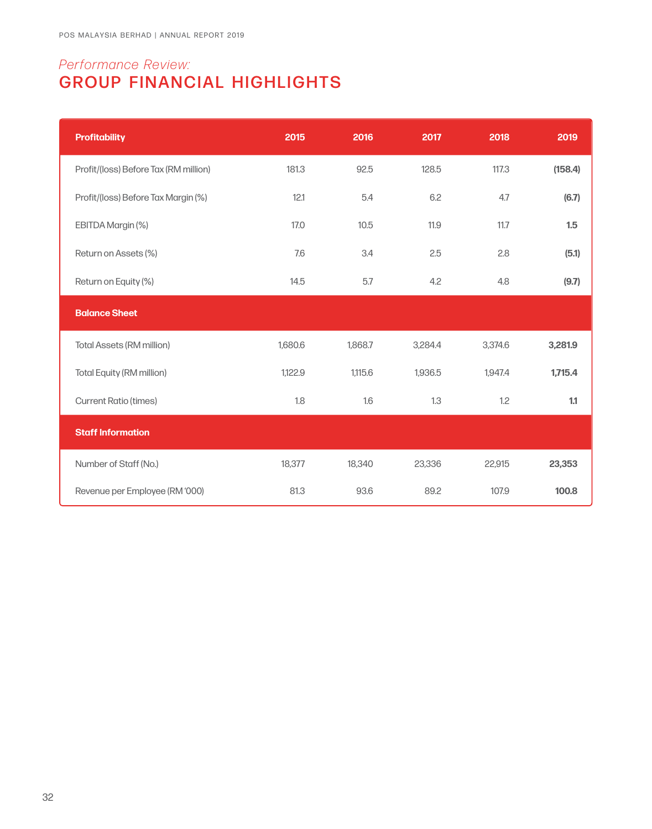## *Performance Review:* GROUP FINANCIAL HIGHLIGHTS

| <b>Profitability</b>                  | 2015    | 2016    | 2017    | 2018    | 2019    |
|---------------------------------------|---------|---------|---------|---------|---------|
| Profit/(loss) Before Tax (RM million) | 181.3   | 92.5    | 128.5   | 117.3   | (158.4) |
| Profit/(loss) Before Tax Margin (%)   | 12.1    | 5.4     | 6.2     | 4.7     | (6.7)   |
| EBITDA Margin (%)                     | 17.0    | 10.5    | 11.9    | 11.7    | 1.5     |
| Return on Assets (%)                  | 7.6     | 3.4     | 2.5     | 2.8     | (5.1)   |
| Return on Equity (%)                  | 14.5    | 5.7     | 4.2     | 4.8     | (9.7)   |
| <b>Balance Sheet</b>                  |         |         |         |         |         |
| <b>Total Assets (RM million)</b>      | 1,680.6 | 1,868.7 | 3,284.4 | 3,374.6 | 3,281.9 |
| <b>Total Equity (RM million)</b>      | 1,122.9 | 1,115.6 | 1,936.5 | 1,947.4 | 1,715.4 |
| <b>Current Ratio (times)</b>          | 1.8     | 1.6     | 1.3     | 1.2     | 1.1     |
| <b>Staff Information</b>              |         |         |         |         |         |
| Number of Staff (No.)                 | 18,377  | 18,340  | 23,336  | 22,915  | 23,353  |
| Revenue per Employee (RM '000)        | 81.3    | 93.6    | 89.2    | 107.9   | 100.8   |